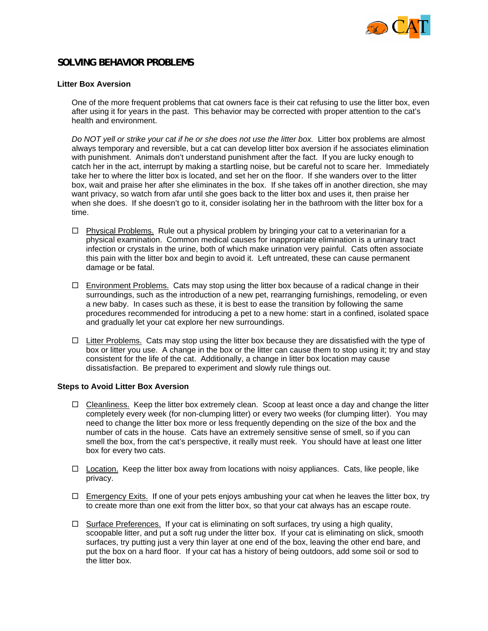

## **SOLVING BEHAVIOR PROBLEMS**

## **Litter Box Aversion**

One of the more frequent problems that cat owners face is their cat refusing to use the litter box, even after using it for years in the past. This behavior may be corrected with proper attention to the cat's health and environment.

*Do NOT yell or strike your cat if he or she does not use the litter box.* Litter box problems are almost always temporary and reversible, but a cat can develop litter box aversion if he associates elimination with punishment. Animals don't understand punishment after the fact. If you are lucky enough to catch her in the act, interrupt by making a startling noise, but be careful not to scare her. Immediately take her to where the litter box is located, and set her on the floor. If she wanders over to the litter box, wait and praise her after she eliminates in the box. If she takes off in another direction, she may want privacy, so watch from afar until she goes back to the litter box and uses it, then praise her when she does. If she doesn't go to it, consider isolating her in the bathroom with the litter box for a time.

- $\Box$  Physical Problems. Rule out a physical problem by bringing your cat to a veterinarian for a physical examination. Common medical causes for inappropriate elimination is a urinary tract infection or crystals in the urine, both of which make urination very painful. Cats often associate this pain with the litter box and begin to avoid it. Left untreated, these can cause permanent damage or be fatal.
- $\Box$  Environment Problems. Cats may stop using the litter box because of a radical change in their surroundings, such as the introduction of a new pet, rearranging furnishings, remodeling, or even a new baby. In cases such as these, it is best to ease the transition by following the same procedures recommended for introducing a pet to a new home: start in a confined, isolated space and gradually let your cat explore her new surroundings.
- $\Box$  Litter Problems. Cats may stop using the litter box because they are dissatisfied with the type of box or litter you use. A change in the box or the litter can cause them to stop using it; try and stay consistent for the life of the cat. Additionally, a change in litter box location may cause dissatisfaction. Be prepared to experiment and slowly rule things out.

## **Steps to Avoid Litter Box Aversion**

- $\Box$  Cleanliness. Keep the litter box extremely clean. Scoop at least once a day and change the litter completely every week (for non-clumping litter) or every two weeks (for clumping litter). You may need to change the litter box more or less frequently depending on the size of the box and the number of cats in the house. Cats have an extremely sensitive sense of smell, so if you can smell the box, from the cat's perspective, it really must reek. You should have at least one litter box for every two cats.
- $\Box$  Location. Keep the litter box away from locations with noisy appliances. Cats, like people, like privacy.
- $\Box$  Emergency Exits. If one of your pets enjoys ambushing your cat when he leaves the litter box, try to create more than one exit from the litter box, so that your cat always has an escape route.
- $\Box$  Surface Preferences. If your cat is eliminating on soft surfaces, try using a high quality, scoopable litter, and put a soft rug under the litter box. If your cat is eliminating on slick, smooth surfaces, try putting just a very thin layer at one end of the box, leaving the other end bare, and put the box on a hard floor. If your cat has a history of being outdoors, add some soil or sod to the litter box.